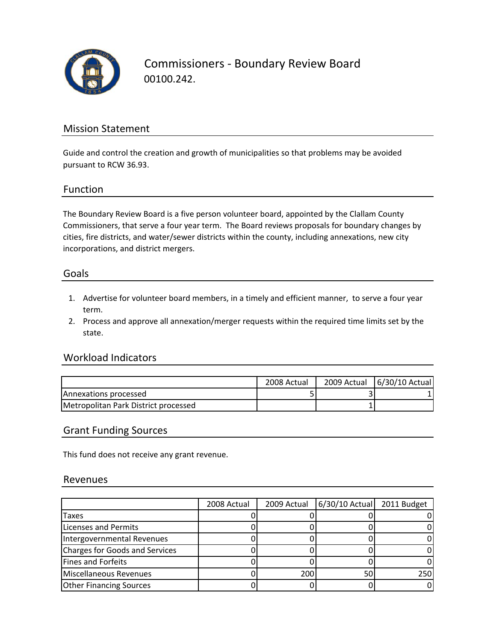

Commissioners ‐ Boundary Review Board 00100.242.

### Mission Statement

Guide and control the creation and growth of municipalities so that problems may be avoided pursuant to RCW 36.93.

#### Function

The Boundary Review Board is a five person volunteer board, appointed by the Clallam County Commissioners, that serve a four year term. The Board reviews proposals for boundary changes by cities, fire districts, and water/sewer districts within the county, including annexations, new city incorporations, and district mergers.

#### Goals

- 1. Advertise for volunteer board members, in a timely and efficient manner, to serve a four year term.
- 2. Process and approve all annexation/merger requests within the required time limits set by the state.

#### Workload Indicators

|                                      | 2008 Actual | 2009 Actual   6/30/10 Actual |
|--------------------------------------|-------------|------------------------------|
| <b>IAnnexations processed</b>        |             |                              |
| Metropolitan Park District processed |             |                              |

#### Grant Funding Sources

This fund does not receive any grant revenue.

#### Revenues

|                                | 2008 Actual | 2009 Actual | 6/30/10 Actual | 2011 Budget |
|--------------------------------|-------------|-------------|----------------|-------------|
| Taxes                          |             |             |                |             |
| <b>Licenses and Permits</b>    |             |             |                |             |
| Intergovernmental Revenues     |             |             |                |             |
| Charges for Goods and Services |             |             |                |             |
| Fines and Forfeits             |             |             |                |             |
| Miscellaneous Revenues         |             | 200         | 50             | 250         |
| <b>Other Financing Sources</b> |             |             |                |             |